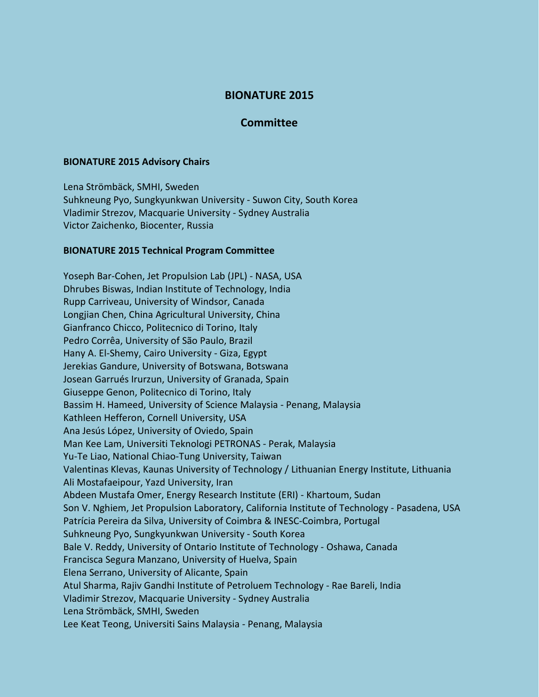## **BIONATURE 2015**

### **Committee**

#### **BIONATURE 2015 Advisory Chairs**

Lena Strömbäck, SMHI, Sweden Suhkneung Pyo, Sungkyunkwan University - Suwon City, South Korea Vladimir Strezov, Macquarie University - Sydney Australia Victor Zaichenko, Biocenter, Russia

### **BIONATURE 2015 Technical Program Committee**

Yoseph Bar-Cohen, Jet Propulsion Lab (JPL) - NASA, USA Dhrubes Biswas, Indian Institute of Technology, India Rupp Carriveau, University of Windsor, Canada Longjian Chen, China Agricultural University, China Gianfranco Chicco, Politecnico di Torino, Italy Pedro Corrêa, University of São Paulo, Brazil Hany A. El-Shemy, Cairo University - Giza, Egypt Jerekias Gandure, University of Botswana, Botswana Josean Garrués Irurzun, University of Granada, Spain Giuseppe Genon, Politecnico di Torino, Italy Bassim H. Hameed, University of Science Malaysia - Penang, Malaysia Kathleen Hefferon, Cornell University, USA Ana Jesús López, University of Oviedo, Spain Man Kee Lam, Universiti Teknologi PETRONAS - Perak, Malaysia Yu-Te Liao, National Chiao-Tung University, Taiwan Valentinas Klevas, Kaunas University of Technology / Lithuanian Energy Institute, Lithuania Ali Mostafaeipour, Yazd University, Iran Abdeen Mustafa Omer, Energy Research Institute (ERI) - Khartoum, Sudan Son V. Nghiem, Jet Propulsion Laboratory, California Institute of Technology - Pasadena, USA Patrícia Pereira da Silva, University of Coimbra & INESC-Coimbra, Portugal Suhkneung Pyo, Sungkyunkwan University - South Korea Bale V. Reddy, University of Ontario Institute of Technology - Oshawa, Canada Francisca Segura Manzano, University of Huelva, Spain Elena Serrano, University of Alicante, Spain Atul Sharma, Rajiv Gandhi Institute of Petroluem Technology - Rae Bareli, India Vladimir Strezov, Macquarie University - Sydney Australia Lena Strömbäck, SMHI, Sweden Lee Keat Teong, Universiti Sains Malaysia - Penang, Malaysia